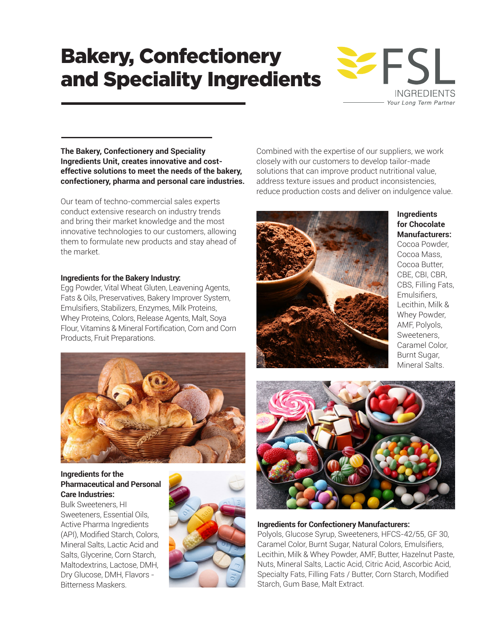# Bakery, Confectionery and Speciality Ingredients



**The Bakery, Confectionery and Speciality Ingredients Unit, creates innovative and costeffective solutions to meet the needs of the bakery, confectionery, pharma and personal care industries.** 

Our team of techno-commercial sales experts conduct extensive research on industry trends and bring their market knowledge and the most innovative technologies to our customers, allowing them to formulate new products and stay ahead of the market.

## **Ingredients for the Bakery Industry:**

Egg Powder, Vital Wheat Gluten, Leavening Agents, Fats & Oils, Preservatives, Bakery Improver System, Emulsifiers, Stabilizers, Enzymes, Milk Proteins, Whey Proteins, Colors, Release Agents, Malt, Soya Flour, Vitamins & Mineral Fortification, Corn and Corn Products, Fruit Preparations.



# **Ingredients for the Pharmaceutical and Personal Care Industries:**

Bulk Sweeteners, HI Sweeteners, Essential Oils, Active Pharma Ingredients (API), Modified Starch, Colors, Mineral Salts, Lactic Acid and Salts, Glycerine, Corn Starch, Maltodextrins, Lactose, DMH, Dry Glucose, DMH, Flavors - Bitterness Maskers.



Combined with the expertise of our suppliers, we work closely with our customers to develop tailor-made solutions that can improve product nutritional value, address texture issues and product inconsistencies, reduce production costs and deliver on indulgence value.



**Ingredients for Chocolate Manufacturers:** 

Cocoa Powder, Cocoa Mass, Cocoa Butter, CBE, CBI, CBR, CBS, Filling Fats, Emulsifiers, Lecithin, Milk & Whey Powder, AMF, Polyols, Sweeteners, Caramel Color, Burnt Sugar, Mineral Salts.



#### **Ingredients for Confectionery Manufacturers:**

Polyols, Glucose Syrup, Sweeteners, HFCS-42/55, GF 30, Caramel Color, Burnt Sugar, Natural Colors, Emulsifiers, Lecithin, Milk & Whey Powder, AMF, Butter, Hazelnut Paste, Nuts, Mineral Salts, Lactic Acid, Citric Acid, Ascorbic Acid, Specialty Fats, Filling Fats / Butter, Corn Starch, Modified Starch, Gum Base, Malt Extract.